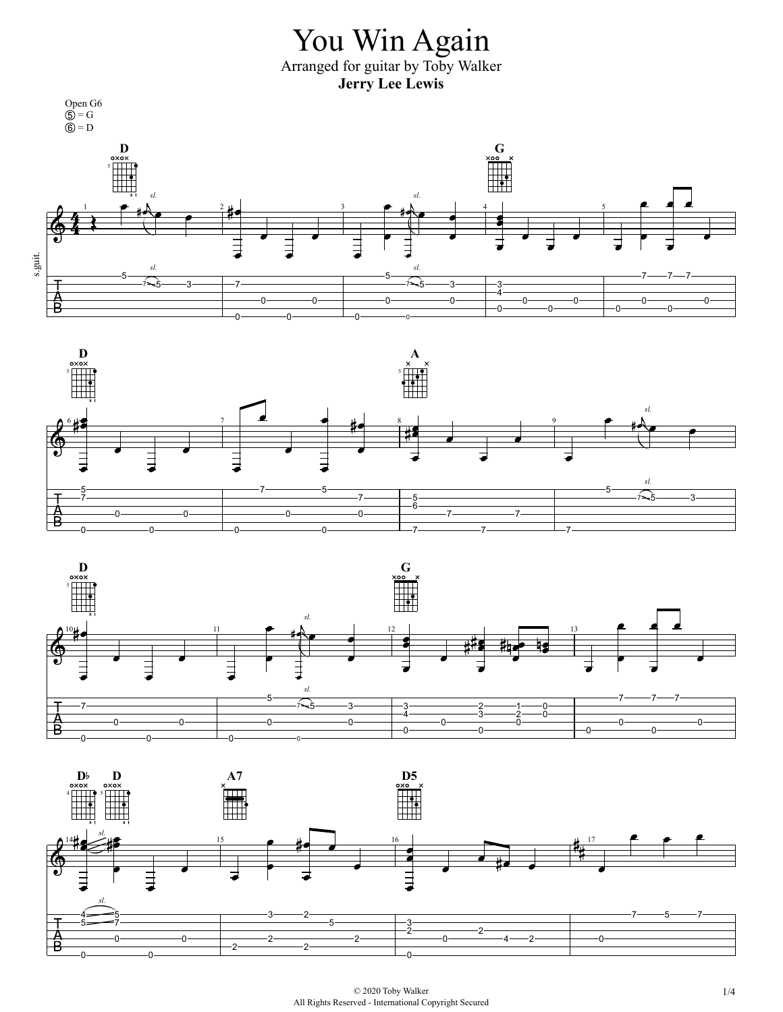





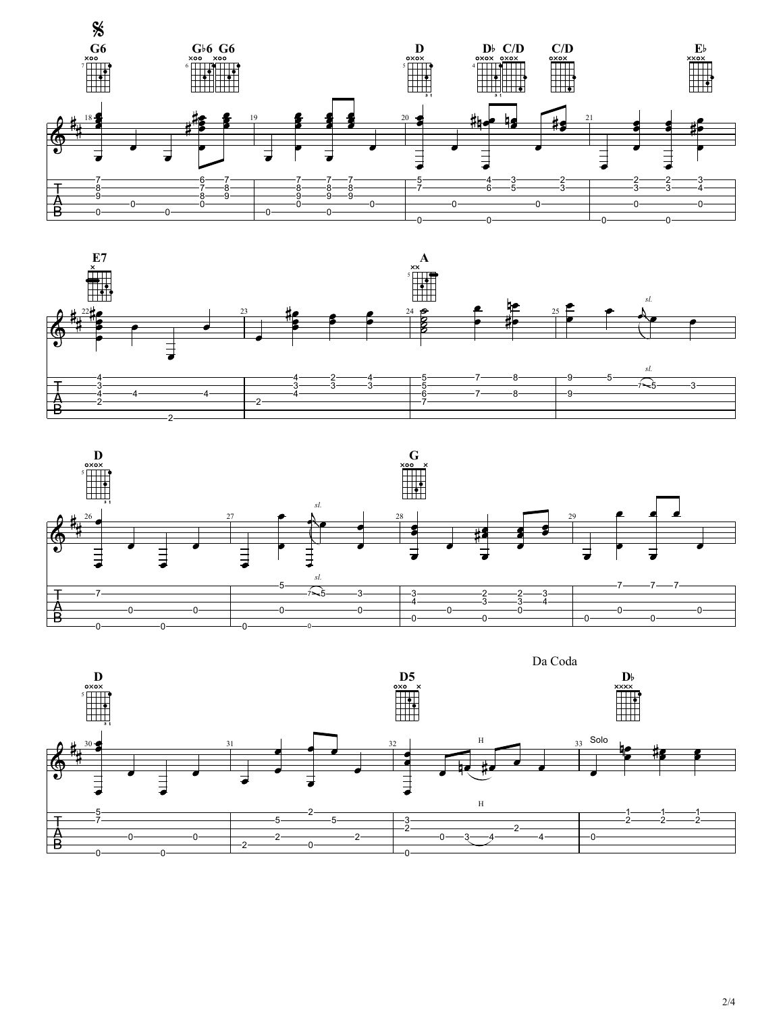







2/4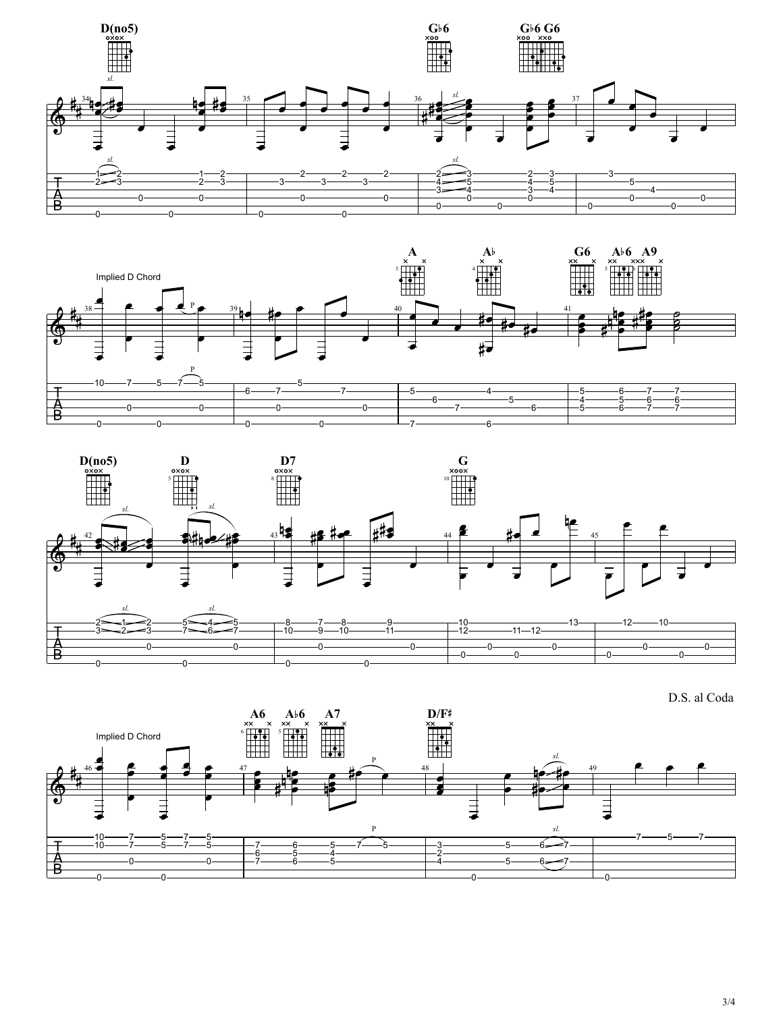







3/4